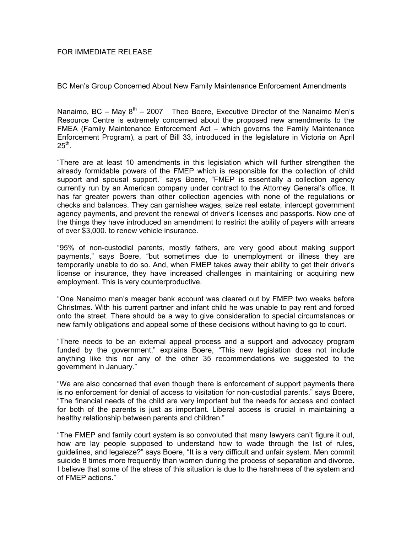BC Men's Group Concerned About New Family Maintenance Enforcement Amendments

Nanaimo, BC – May  $8<sup>th</sup>$  – 2007 Theo Boere, Executive Director of the Nanaimo Men's Resource Centre is extremely concerned about the proposed new amendments to the FMEA (Family Maintenance Enforcement Act – which governs the Family Maintenance Enforcement Program), a part of Bill 33, introduced in the legislature in Victoria on April  $25<sup>th</sup>$ .

"There are at least 10 amendments in this legislation which will further strengthen the already formidable powers of the FMEP which is responsible for the collection of child support and spousal support." says Boere, "FMEP is essentially a collection agency currently run by an American company under contract to the Attorney General's office. It has far greater powers than other collection agencies with none of the regulations or checks and balances. They can garnishee wages, seize real estate, intercept government agency payments, and prevent the renewal of driver's licenses and passports. Now one of the things they have introduced an amendment to restrict the ability of payers with arrears of over \$3,000. to renew vehicle insurance.

"95% of non-custodial parents, mostly fathers, are very good about making support payments," says Boere, "but sometimes due to unemployment or illness they are temporarily unable to do so. And, when FMEP takes away their ability to get their driver's license or insurance, they have increased challenges in maintaining or acquiring new employment. This is very counterproductive.

"One Nanaimo man's meager bank account was cleared out by FMEP two weeks before Christmas. With his current partner and infant child he was unable to pay rent and forced onto the street. There should be a way to give consideration to special circumstances or new family obligations and appeal some of these decisions without having to go to court.

"There needs to be an external appeal process and a support and advocacy program funded by the government," explains Boere, "This new legislation does not include anything like this nor any of the other 35 recommendations we suggested to the government in January."

"We are also concerned that even though there is enforcement of support payments there is no enforcement for denial of access to visitation for non-custodial parents." says Boere, "The financial needs of the child are very important but the needs for access and contact for both of the parents is just as important. Liberal access is crucial in maintaining a healthy relationship between parents and children."

"The FMEP and family court system is so convoluted that many lawyers can't figure it out, how are lay people supposed to understand how to wade through the list of rules, guidelines, and legaleze?" says Boere, "It is a very difficult and unfair system. Men commit suicide 8 times more frequently than women during the process of separation and divorce. I believe that some of the stress of this situation is due to the harshness of the system and of FMEP actions."